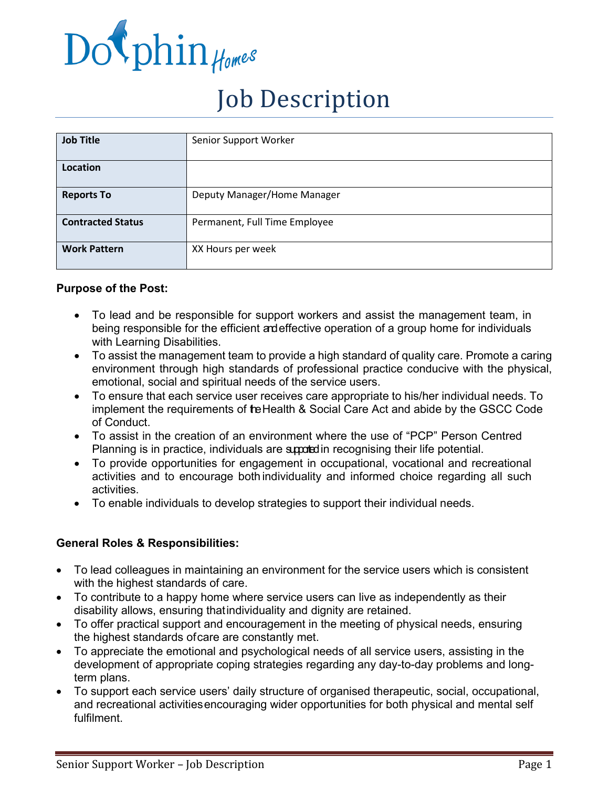

# Job Description

| <b>Job Title</b>         | Senior Support Worker         |  |  |  |
|--------------------------|-------------------------------|--|--|--|
| Location                 |                               |  |  |  |
| <b>Reports To</b>        | Deputy Manager/Home Manager   |  |  |  |
| <b>Contracted Status</b> | Permanent, Full Time Employee |  |  |  |
| <b>Work Pattern</b>      | XX Hours per week             |  |  |  |

### **Purpose of the Post:**

- To lead and be responsible for support workers and assist the management team, in being responsible for the efficient andeffective operation of a group home for individuals with Learning Disabilities.
- To assist the management team to provide a high standard of quality care. Promote a caring environment through high standards of professional practice conducive with the physical, emotional, social and spiritual needs of the service users.
- To ensure that each service user receives care appropriate to his/her individual needs. To implement the requirements of te Health & Social Care Act and abide by the GSCC Code of Conduct.
- To assist in the creation of an environment where the use of "PCP" Person Centred Planning is in practice, individuals are supported in recognising their life potential.
- To provide opportunities for engagement in occupational, vocational and recreational activities and to encourage both individuality and informed choice regarding all such activities.
- To enable individuals to develop strategies to support their individual needs.

# **General Roles & Responsibilities:**

- To lead colleagues in maintaining an environment for the service users which is consistent with the highest standards of care.
- To contribute to a happy home where service users can live as independently as their disability allows, ensuring thatindividuality and dignity are retained.
- To offer practical support and encouragement in the meeting of physical needs, ensuring the highest standards ofcare are constantly met.
- To appreciate the emotional and psychological needs of all service users, assisting in the development of appropriate coping strategies regarding any day-to-day problems and longterm plans.
- To support each service users' daily structure of organised therapeutic, social, occupational, and recreational activitiesencouraging wider opportunities for both physical and mental self fulfilment.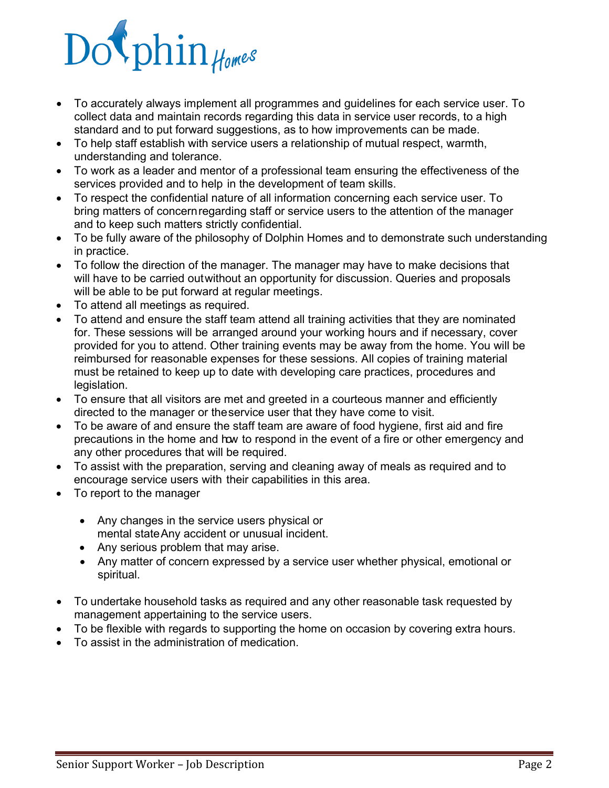- To accurately always implement all programmes and guidelines for each service user. To collect data and maintain records regarding this data in service user records, to a high standard and to put forward suggestions, as to how improvements can be made.
- To help staff establish with service users a relationship of mutual respect, warmth, understanding and tolerance.
- To work as a leader and mentor of a professional team ensuring the effectiveness of the services provided and to help in the development of team skills.
- To respect the confidential nature of all information concerning each service user. To bring matters of concernregarding staff or service users to the attention of the manager and to keep such matters strictly confidential.
- To be fully aware of the philosophy of Dolphin Homes and to demonstrate such understanding in practice.
- To follow the direction of the manager. The manager may have to make decisions that will have to be carried outwithout an opportunity for discussion. Queries and proposals will be able to be put forward at regular meetings.
- To attend all meetings as required.
- To attend and ensure the staff team attend all training activities that they are nominated for. These sessions will be arranged around your working hours and if necessary, cover provided for you to attend. Other training events may be away from the home. You will be reimbursed for reasonable expenses for these sessions. All copies of training material must be retained to keep up to date with developing care practices, procedures and legislation.
- To ensure that all visitors are met and greeted in a courteous manner and efficiently directed to the manager or theservice user that they have come to visit.
- To be aware of and ensure the staff team are aware of food hygiene, first aid and fire precautions in the home and how to respond in the event of a fire or other emergency and any other procedures that will be required.
- To assist with the preparation, serving and cleaning away of meals as required and to encourage service users with their capabilities in this area.
- To report to the manager
	- Any changes in the service users physical or mental stateAny accident or unusual incident.
	- Any serious problem that may arise.
	- Any matter of concern expressed by a service user whether physical, emotional or spiritual.
- To undertake household tasks as required and any other reasonable task requested by management appertaining to the service users.
- To be flexible with regards to supporting the home on occasion by covering extra hours.
- To assist in the administration of medication.